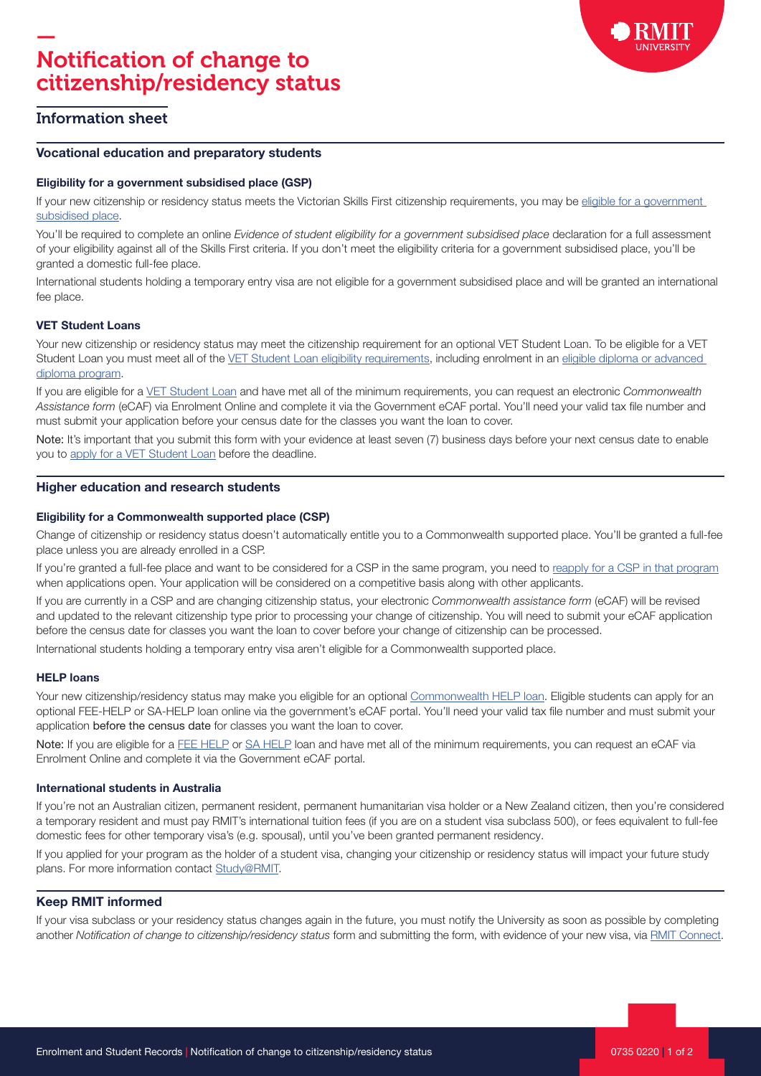

# Information sheet

#### Vocational education and preparatory students

#### Eligibility for a government subsidised place (GSP)

If your new citizenship or residency status meets the Victorian Skills First citizenship requirements, you may be eligible for a government [subsidised place](https://www.rmit.edu.au/study-with-us/applying-to-rmit/local-student-applications/how-to-apply/apply-by-level-of-study/vocational-study/eligibility-for-a-government-subsidised-place).

You'll be required to complete an online Evidence of student eligibility for a government subsidised place declaration for a full assessment of your eligibility against all of the Skills First criteria. If you don't meet the eligibility criteria for a government subsidised place, you'll be granted a domestic full-fee place.

International students holding a temporary entry visa are not eligible for a government subsidised place and will be granted an international fee place.

#### VET Student Loans

Your new citizenship or residency status may meet the citizenship requirement for an optional VET Student Loan. To be eligible for a VET Student Loan you must meet all of the [VET Student Loan eligibility requirements](https://www.rmit.edu.au/students/student-essentials/fees-and-payments/help-loans), including enrolment in an [eligible diploma or advanced](https://www.rmit.edu.au/study-with-us/applying-to-rmit/local-student-applications/fees/commonwealth-assistance-help-loans/vocational-study-students-vet-student-loans)  [diploma program.](https://www.rmit.edu.au/study-with-us/applying-to-rmit/local-student-applications/fees/commonwealth-assistance-help-loans/vocational-study-students-vet-student-loans)

If you are eligible for a [VET Student Loan](https://www.rmit.edu.au/students/student-essentials/fees-and-payments/help-loans/vet-student-loans) and have met all of the minimum requirements, you can request an electronic Commonwealth Assistance form (eCAF) via Enrolment Online and complete it via the Government eCAF portal. You'll need your valid tax file number and must submit your application before your census date for the classes you want the loan to cover.

Note: It's important that you submit this form with your evidence at least seven (7) business days before your next census date to enable you to [apply for a VET Student Loan](https://www.rmit.edu.au/students/student-essentials/fees-and-payments/help-loans/vet-student-loans) before the deadline.

### Higher education and research students

#### Eligibility for a Commonwealth supported place (CSP)

Change of citizenship or residency status doesn't automatically entitle you to a Commonwealth supported place. You'll be granted a full-fee place unless you are already enrolled in a CSP.

If you're granted a full-fee place and want to be considered for a CSP in the same program, you need to [reapply for a CSP in that program](https://www.rmit.edu.au/study-with-us/applying-to-rmit/local-student-applications/how-to-apply/application-methods/direct-application) when applications open. Your application will be considered on a competitive basis along with other applicants.

If you are currently in a CSP and are changing citizenship status, your electronic Commonwealth assistance form (eCAF) will be revised and updated to the relevant citizenship type prior to processing your change of citizenship. You will need to submit your eCAF application before the census date for classes you want the loan to cover before your change of citizenship can be processed.

International students holding a temporary entry visa aren't eligible for a Commonwealth supported place.

### HELP loans

Your new citizenship/residency status may make you eligible for an optional [Commonwealth HELP loan.](https://www.rmit.edu.au/students/student-essentials/fees-and-payments/help-loans) Eligible students can apply for an optional FEE-HELP or SA-HELP loan online via the government's eCAF portal. You'll need your valid tax file number and must submit your application before the census date for classes you want the loan to cover.

Note: If you are eligible for a [FEE HELP](https://www.rmit.edu.au/students/student-essentials/fees-and-payments/help-loans/fee-help) or [SA HELP](https://www.rmit.edu.au/students/student-essentials/fees-and-payments/help-loans/sa-help) loan and have met all of the minimum requirements, you can request an eCAF via Enrolment Online and complete it via the Government eCAF portal.

### International students in Australia

If you're not an Australian citizen, permanent resident, permanent humanitarian visa holder or a New Zealand citizen, then you're considered a temporary resident and must pay RMIT's international tuition fees (if you are on a student visa subclass 500), or fees equivalent to full-fee domestic fees for other temporary visa's (e.g. spousal), until you've been granted permanent residency.

If you applied for your program as the holder of a student visa, changing your citizenship or residency status will impact your future study plans. For more information contact [Study@RMIT.](mailto:study@rmit.edu.au)

### Keep RMIT informed

If your visa subclass or your residency status changes again in the future, you must notify the University as soon as possible by completing another Notification of change to citizenship/residency status form and submitting the form, with evidence of your new visa, via [RMIT Connect.](https://www.rmit.edu.au/students/contact-and-help/connect)